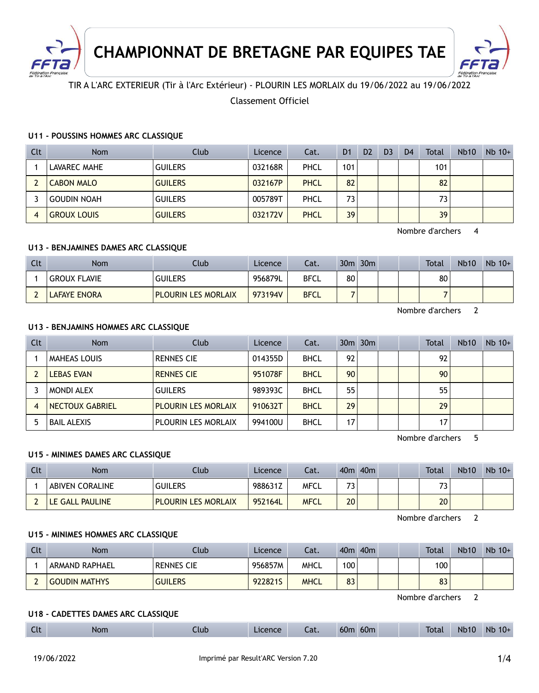

**CHAMPIONNAT DE BRETAGNE PAR EQUIPES TAE**



TIR A L'ARC EXTERIEUR (Tir à l'Arc Extérieur) - PLOURIN LES MORLAIX du 19/06/2022 au 19/06/2022

## Classement Officiel

### **U11 - POUSSINS HOMMES ARC CLASSIQUE**

| Clt | <b>Nom</b>         | Club           | Licence | Cat. | D <sub>1</sub>  | D <sub>2</sub> | D <sub>3</sub> | D <sub>4</sub> | <b>Total</b> | Nb <sub>10</sub> | $Nb$ 10+ |
|-----|--------------------|----------------|---------|------|-----------------|----------------|----------------|----------------|--------------|------------------|----------|
|     | LAVAREC MAHE       | <b>GUILERS</b> | 032168R | PHCL | 101             |                |                |                | 101          |                  |          |
|     | <b>CABON MALO</b>  | <b>GUILERS</b> | 032167P | PHCL | 82              |                |                |                | 82           |                  |          |
|     | <b>GOUDIN NOAH</b> | <b>GUILERS</b> | 005789T | PHCL | 73 <sub>1</sub> |                |                |                | 73           |                  |          |
| 4   | <b>GROUX LOUIS</b> | <b>GUILERS</b> | 032172V | PHCL | 39              |                |                |                | 39           |                  |          |

Nombre d'archers 4

### **U13 - BENJAMINES DAMES ARC CLASSIQUE**

| Clt | <b>Nom</b>          | Club                       | Licence | Cat.        |    | $30m$ $30m$ |  | <b>Total</b> | <b>Nb10</b> | $Nb$ 10+ |
|-----|---------------------|----------------------------|---------|-------------|----|-------------|--|--------------|-------------|----------|
|     | <b>GROUX FLAVIE</b> | <b>GUILERS</b>             | 956879L | <b>BFCL</b> | 80 |             |  | 80           |             |          |
|     | LAFAYE ENORA        | <b>PLOURIN LES MORLAIX</b> | 973194V | <b>BFCL</b> |    |             |  |              |             |          |

Nombre d'archers 2

### **U13 - BENJAMINS HOMMES ARC CLASSIQUE**

| <b>Clt</b> | <b>Nom</b>          | Club                       | Licence | Cat.        |                 | $30m$ $30m$ |  | Total | <b>Nb10</b> | $Nb$ 10+ |
|------------|---------------------|----------------------------|---------|-------------|-----------------|-------------|--|-------|-------------|----------|
|            | <b>MAHEAS LOUIS</b> | <b>RENNES CIE</b>          | 014355D | <b>BHCL</b> | 92              |             |  | 92    |             |          |
|            | <b>LEBAS EVAN</b>   | <b>RENNES CIE</b>          | 951078F | <b>BHCL</b> | 90 <sub>1</sub> |             |  | 90    |             |          |
|            | <b>MONDI ALEX</b>   | <b>GUILERS</b>             | 989393C | <b>BHCL</b> | 55              |             |  | 55    |             |          |
| 4          | NECTOUX GABRIEL     | <b>PLOURIN LES MORLAIX</b> | 910632T | <b>BHCL</b> | 29              |             |  | 29    |             |          |
|            | <b>BAIL ALEXIS</b>  | <b>PLOURIN LES MORLAIX</b> | 994100U | <b>BHCL</b> | 17 <sub>1</sub> |             |  | 17    |             |          |

Nombre d'archers 5

## **U15 - MINIMES DAMES ARC CLASSIQUE**

| Clt | Nom                    | Club                       | Licence | Cat.        |         | 40 <sub>m</sub> 40 <sub>m</sub> |  | Total   | <b>Nb10</b> | $Nb$ 10+ |
|-----|------------------------|----------------------------|---------|-------------|---------|---------------------------------|--|---------|-------------|----------|
|     | <b>ABIVEN CORALINE</b> | <b>GUILERS</b>             | 988631Z | MFCL        | 72<br>د |                                 |  | っっ<br>◡ |             |          |
|     | LE GALL PAULINE        | <b>PLOURIN LES MORLAIX</b> | 952164L | <b>MFCL</b> | 20      |                                 |  | 20      |             |          |

Nombre d'archers 2

#### **U15 - MINIMES HOMMES ARC CLASSIQUE**

| Clt | Nom                  | .lub              | Licence | Cat.        | 40 <sub>m</sub>  | 40 <sub>m</sub> |  | <b>Total</b> | <b>Nb10</b> | $Nb$ 10+ |
|-----|----------------------|-------------------|---------|-------------|------------------|-----------------|--|--------------|-------------|----------|
|     | ARMAND RAPHAEL       | <b>RENNES CIE</b> | 956857M | <b>MHCL</b> | 100 <sub>1</sub> |                 |  | 100          |             |          |
|     | <b>GOUDIN MATHYS</b> | <b>GUILERS</b>    | 9228215 | MHCL        | 83               |                 |  | 83           |             |          |

Nombre d'archers 2

#### **U18 - CADETTES DAMES ARC CLASSIQUE**

| $\sim$ 1.<br><b>Nb10</b><br>60 <sub>m</sub><br>60m<br><b>Nb</b><br><b>Total</b><br>$10+$<br><b>Nom</b><br>Licence<br>Llub<br>ົ <u>າ</u> 1<br>Cal.<br>$-1$ |  |
|-----------------------------------------------------------------------------------------------------------------------------------------------------------|--|
|-----------------------------------------------------------------------------------------------------------------------------------------------------------|--|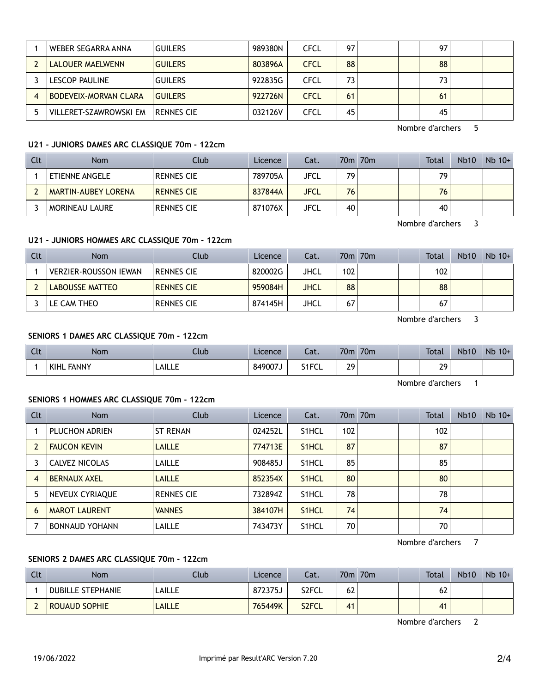| WEBER SEGARRA ANNA           | <b>GUILERS</b> | 989380N | CFCL        | 97 |  | 97 |  |
|------------------------------|----------------|---------|-------------|----|--|----|--|
| LALOUER MAELWENN             | <b>GUILERS</b> | 803896A | <b>CFCL</b> | 88 |  | 88 |  |
| LESCOP PAULINE               | <b>GUILERS</b> | 922835G | CFCL        | 73 |  | 73 |  |
| <b>BODEVEIX-MORVAN CLARA</b> | <b>GUILERS</b> | 922726N | <b>CFCL</b> | 61 |  | 61 |  |
| VILLERET-SZAWROWSKI EM       | RENNES CIE     | 032126V | CFCL        | 45 |  | 45 |  |

Nombre d'archers 5

### **U21 - JUNIORS DAMES ARC CLASSIQUE 70m - 122cm**

| Clt | <b>Nom</b>            | Club              | Licence | Cat.        |    | 70m 70m |  | Total | Nb <sub>10</sub> | $Nb$ 10+ |
|-----|-----------------------|-------------------|---------|-------------|----|---------|--|-------|------------------|----------|
|     | <b>ETIENNE ANGELE</b> | <b>RENNES CIE</b> | 789705A | <b>JFCL</b> | 79 |         |  | 79    |                  |          |
|     | MARTIN-AUBEY LORENA   | <b>RENNES CIE</b> | 837844A | JFCL        | 76 |         |  | 76    |                  |          |
|     | MORINEAU LAURE        | <b>RENNES CIE</b> | 871076X | JFCL        | 40 |         |  | 40    |                  |          |

Nombre d'archers 3

## **U21 - JUNIORS HOMMES ARC CLASSIQUE 70m - 122cm**

| Clt | <b>Nom</b>                   | Club              | Licence | Cat.        |     | 70 <sub>m</sub> 70 <sub>m</sub> |  | Total | <b>Nb10</b> | $Nb$ 10+ |
|-----|------------------------------|-------------------|---------|-------------|-----|---------------------------------|--|-------|-------------|----------|
|     | <b>VERZIER-ROUSSON IEWAN</b> | <b>RENNES CIE</b> | 820002G | JHCL        | 102 |                                 |  | 102   |             |          |
|     | LABOUSSE MATTEO              | <b>RENNES CIE</b> | 959084H | <b>JHCL</b> | 88  |                                 |  | 88    |             |          |
|     | LE CAM THEO                  | <b>RENNES CIE</b> | 874145H | JHCL        | 67  |                                 |  | 67    |             |          |

Nombre d'archers 3

# **SENIORS 1 DAMES ARC CLASSIQUE 70m - 122cm**

| Clt | <b>Nom</b>        | .lub          | Licence | Cat.  | 70m     | 70 <sub>m</sub> |  | <b>Total</b> | <b>Nb10</b> | <b>N<sub>b</sub></b><br>$10+$ |
|-----|-------------------|---------------|---------|-------|---------|-----------------|--|--------------|-------------|-------------------------------|
|     | <b>KIHL FANNY</b> | <b>LAILLE</b> | 849007J | S1FCL | 20<br>- |                 |  | 29           |             |                               |

Nombre d'archers 1

#### **SENIORS 1 HOMMES ARC CLASSIQUE 70m - 122cm**

| <b>Clt</b> | Nom                   | Club              | Licence | Cat.               |     | 70 <sub>m</sub> 70 <sub>m</sub> |  | <b>Total</b> | <b>Nb10</b> | $Nb$ 10+ |
|------------|-----------------------|-------------------|---------|--------------------|-----|---------------------------------|--|--------------|-------------|----------|
|            | PLUCHON ADRIEN        | <b>ST RENAN</b>   | 024252L | S <sub>1</sub> HCL | 102 |                                 |  | 102          |             |          |
|            | <b>FAUCON KEVIN</b>   | <b>LAILLE</b>     | 774713E | S <sub>1</sub> HCL | 87  |                                 |  | 87           |             |          |
|            | CALVEZ NICOLAS        | LAILLE            | 908485J | S <sub>1</sub> HCL | 85  |                                 |  | 85           |             |          |
| 4          | <b>BERNAUX AXEL</b>   | <b>LAILLE</b>     | 852354X | S <sub>1</sub> HCL | 80  |                                 |  | 80           |             |          |
| 5          | NEVEUX CYRIAQUE       | <b>RENNES CIE</b> | 732894Z | S <sub>1</sub> HCL | 78  |                                 |  | 78           |             |          |
| 6          | <b>MAROT LAURENT</b>  | <b>VANNES</b>     | 384107H | S <sub>1</sub> HCL | 74  |                                 |  | 74           |             |          |
|            | <b>BONNAUD YOHANN</b> | LAILLE            | 743473Y | S <sub>1</sub> HCL | 70  |                                 |  | 70           |             |          |

Nombre d'archers 7

### **SENIORS 2 DAMES ARC CLASSIQUE 70m - 122cm**

| Clt | <b>Nom</b>               | Club   | Licence | Cat.  |    | 70m 70m |  | <b>Total</b> | <b>Nb10</b> | $Nb$ 10+ |
|-----|--------------------------|--------|---------|-------|----|---------|--|--------------|-------------|----------|
|     | <b>DUBILLE STEPHANIE</b> | LAILLE | 872375J | S2FCL | 62 |         |  | 62           |             |          |
|     | <b>ROUAUD SOPHIE</b>     | LAILLE | 765449K | S2FCL | 41 |         |  | 41           |             |          |

Nombre d'archers 2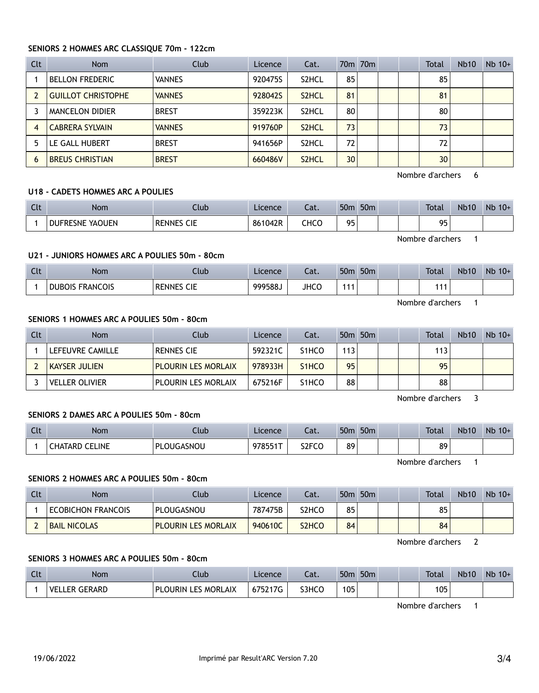# **SENIORS 2 HOMMES ARC CLASSIQUE 70m - 122cm**

| <b>Clt</b> | <b>Nom</b>                | Club          | Licence | Cat.               |    | 70m 70m |  | Total | <b>Nb10</b> | $Nb$ 10+ |
|------------|---------------------------|---------------|---------|--------------------|----|---------|--|-------|-------------|----------|
|            | <b>BELLON FREDERIC</b>    | <b>VANNES</b> | 920475S | S <sub>2</sub> HCL | 85 |         |  | 85    |             |          |
|            | <b>GUILLOT CHRISTOPHE</b> | <b>VANNES</b> | 928042S | S <sub>2</sub> HCL | 81 |         |  | 81    |             |          |
|            | MANCELON DIDIER           | <b>BREST</b>  | 359223K | S <sub>2</sub> HCL | 80 |         |  | 80    |             |          |
| 4          | <b>CABRERA SYLVAIN</b>    | <b>VANNES</b> | 919760P | S <sub>2</sub> HCL | 73 |         |  | 73    |             |          |
| 5          | LE GALL HUBERT            | <b>BREST</b>  | 941656P | S <sub>2</sub> HCL | 72 |         |  | 72    |             |          |
| 6          | <b>BREUS CHRISTIAN</b>    | <b>BREST</b>  | 660486V | S <sub>2</sub> HCL | 30 |         |  | 30    |             |          |

Nombre d'archers 6

### **U18 - CADETS HOMMES ARC A POULIES**

| $\sim$<br>นเ | Nom             | Llub                        | Licence | - 1<br>∟aι. | 50 <sub>m</sub> | 50 <sub>m</sub> |  | <b>Total</b> | <b>Nb10</b> | Nb<br>$10+$ |
|--------------|-----------------|-----------------------------|---------|-------------|-----------------|-----------------|--|--------------|-------------|-------------|
|              | DUFRESNE YAOUEN | <b>CIE</b><br><b>RENNES</b> | 861042R | снсс        | ᅂ               |                 |  | ΩF<br>ر ر    |             |             |

Nombre d'archers 1

# **U21 - JUNIORS HOMMES ARC A POULIES 50m - 80cm**

| Clt | <b>Nom</b>             | Ilub                 | Licence | ົ <del>ດ t</del><br>cal. | 50 <sub>m</sub> | 50 <sub>m</sub> |  | <b>Total</b>    | <b>Nb10</b> | Nb<br>$10+$ |
|-----|------------------------|----------------------|---------|--------------------------|-----------------|-----------------|--|-----------------|-------------|-------------|
|     | <b>DUBOIS FRANCOIS</b> | CIE<br><b>RENNES</b> | 999588. | <b>JHCC</b>              |                 |                 |  | $\sim$ 4 $\sim$ |             |             |

Nombre d'archers 1

## **SENIORS 1 HOMMES ARC A POULIES 50m - 80cm**

| Clt | Nom.                  | Club                       | Licence | Cat.               |     | 50 <sub>m</sub> 50 <sub>m</sub> |  | <b>Total</b> | <b>Nb10</b> | $Nb$ 10+ |
|-----|-----------------------|----------------------------|---------|--------------------|-----|---------------------------------|--|--------------|-------------|----------|
|     | LEFEUVRE CAMILLE      | <b>RENNES CIE</b>          | 592321C | S <sub>1</sub> HCO | 113 |                                 |  | 113          |             |          |
|     | <b>KAYSER JULIEN</b>  | <b>PLOURIN LES MORLAIX</b> | 978933H | S <sub>1</sub> HCO | 95  |                                 |  | 95           |             |          |
|     | <b>VELLER OLIVIER</b> | <b>PLOURIN LES MORLAIX</b> | 675216F | S <sub>1</sub> HCO | 88  |                                 |  | 88           |             |          |

Nombre d'archers 3

### **SENIORS 2 DAMES ARC A POULIES 50m - 80cm**

| $\sim$<br>uτ | Nom                         | Club       | Licence | Cat.               | 50 <sub>m</sub> | 50 <sub>m</sub> |  | <b>Total</b> | <b>Nb10</b> | Nb<br>$10+$ |
|--------------|-----------------------------|------------|---------|--------------------|-----------------|-----------------|--|--------------|-------------|-------------|
|              | LINE<br><b>CHATARD</b><br>∼ | PLOUGASNOU | 978551T | S <sub>2</sub> FCO | 89              |                 |  | 89           |             |             |

Nombre d'archers 1

# **SENIORS 2 HOMMES ARC A POULIES 50m - 80cm**

| Clt | <b>Nom</b>                | Club                       | Licence | Cat.                           |    | 50 <sub>m</sub> 50 <sub>m</sub> |  | Total | <b>Nb10</b> | $Nb$ 10+ |
|-----|---------------------------|----------------------------|---------|--------------------------------|----|---------------------------------|--|-------|-------------|----------|
|     | <b>ECOBICHON FRANCOIS</b> | PLOUGASNOU                 | 787475B | S2HCO                          | 85 |                                 |  | 85    |             |          |
|     | <b>BAIL NICOLAS</b>       | <b>PLOURIN LES MORLAIX</b> | 940610C | S <sub>2</sub> HC <sub>O</sub> | 84 |                                 |  | 84    |             |          |

Nombre d'archers 2

### **SENIORS 3 HOMMES ARC A POULIES 50m - 80cm**

| $\sim$<br><b>CLL</b> | Nom                          | Llub                                 | Licence             | Cat.  | 50 <sub>m</sub> | 50 <sub>m</sub> |  | <b>Total</b> | <b>Nb10</b> | <b>N<sub>b</sub></b><br>$10+$ |
|----------------------|------------------------------|--------------------------------------|---------------------|-------|-----------------|-----------------|--|--------------|-------------|-------------------------------|
|                      | VF<br><b>GERARD</b><br>I FR. | <b>MORLAIX</b><br>DI<br>EC.<br>'JRIN | 675217 <sup>2</sup> | S3HCO | 105<br>נ טו     |                 |  | 105          |             |                               |

Nombre d'archers 1